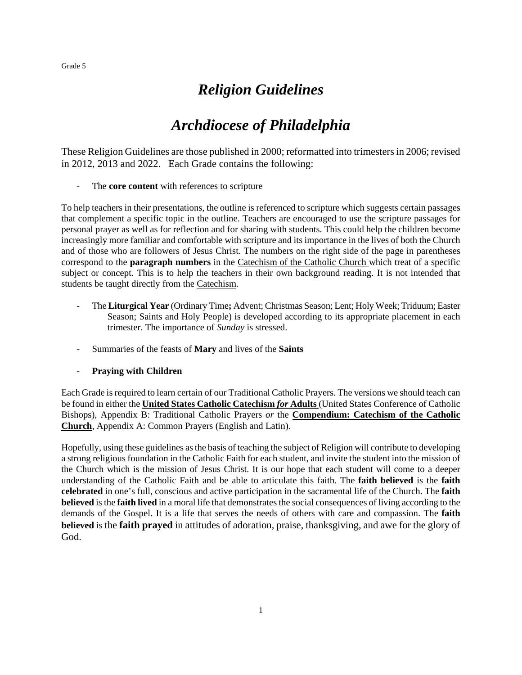## *Religion Guidelines*

## *Archdiocese of Philadelphia*

These Religion Guidelines are those published in 2000; reformatted into trimesters in 2006; revised in 2012, 2013 and 2022. Each Grade contains the following:

- The **core content** with references to scripture

To help teachers in their presentations, the outline is referenced to scripture which suggests certain passages that complement a specific topic in the outline. Teachers are encouraged to use the scripture passages for personal prayer as well as for reflection and for sharing with students. This could help the children become increasingly more familiar and comfortable with scripture and its importance in the lives of both the Church and of those who are followers of Jesus Christ. The numbers on the right side of the page in parentheses correspond to the **paragraph numbers** in the Catechism of the Catholic Church which treat of a specific subject or concept. This is to help the teachers in their own background reading. It is not intended that students be taught directly from the Catechism.

- The **Liturgical Year** (Ordinary Time**;** Advent; Christmas Season; Lent; Holy Week; Triduum; Easter Season; Saints and Holy People) is developed according to its appropriate placement in each trimester. The importance of *Sunday* is stressed.
- Summaries of the feasts of **Mary** and lives of the **Saints**
- **Praying with Children**

Each Grade is required to learn certain of our Traditional Catholic Prayers. The versions we should teach can be found in either the **United States Catholic Catechism** *for* **Adults** (United States Conference of Catholic Bishops), Appendix B: Traditional Catholic Prayers *or* the **Compendium: Catechism of the Catholic Church**, Appendix A: Common Prayers (English and Latin).

Hopefully, using these guidelines as the basis of teaching the subject of Religion will contribute to developing a strong religious foundation in the Catholic Faith for each student, and invite the student into the mission of the Church which is the mission of Jesus Christ. It is our hope that each student will come to a deeper understanding of the Catholic Faith and be able to articulate this faith. The **faith believed** is the **faith celebrated** in one's full, conscious and active participation in the sacramental life of the Church. The **faith believed** is the **faith lived** in a moral life that demonstrates the social consequences of living according to the demands of the Gospel. It is a life that serves the needs of others with care and compassion. The **faith believed** is the **faith prayed** in attitudes of adoration, praise, thanksgiving, and awe for the glory of God.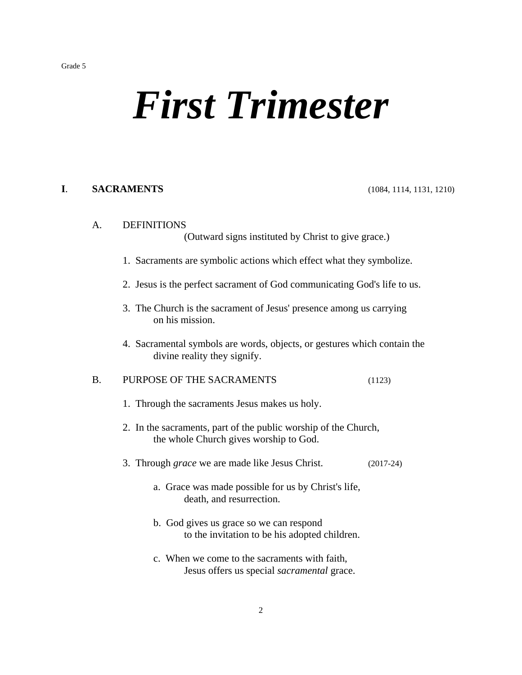# *First Trimester*

## **I**. **SACRAMENTS** (1084, 1114, 1131, 1210)

#### A. DEFINITIONS

(Outward signs instituted by Christ to give grace.)

- 1. Sacraments are symbolic actions which effect what they symbolize.
- 2. Jesus is the perfect sacrament of God communicating God's life to us.
- 3. The Church is the sacrament of Jesus' presence among us carrying on his mission.
- 4. Sacramental symbols are words, objects, or gestures which contain the divine reality they signify.

## B. PURPOSE OF THE SACRAMENTS (1123)

- 1. Through the sacraments Jesus makes us holy.
- 2. In the sacraments, part of the public worship of the Church, the whole Church gives worship to God.
- 3. Through *grace* we are made like Jesus Christ. (2017-24)
	- a. Grace was made possible for us by Christ's life, death, and resurrection.
	- b. God gives us grace so we can respond to the invitation to be his adopted children.
	- c. When we come to the sacraments with faith, Jesus offers us special *sacramental* grace.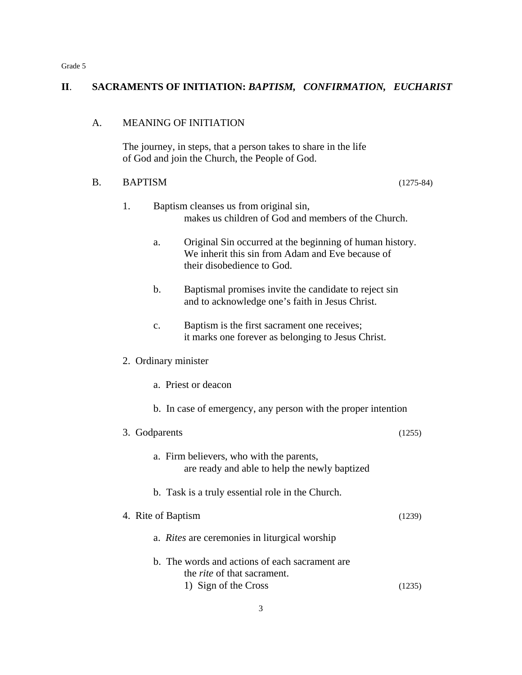## **II**. **SACRAMENTS OF INITIATION:** *BAPTISM, CONFIRMATION, EUCHARIST*

#### A. MEANING OF INITIATION

The journey, in steps, that a person takes to share in the life of God and join the Church, the People of God.

## B. BAPTISM(1275-84)

- 1. Baptism cleanses us from original sin, makes us children of God and members of the Church.
	- a. Original Sin occurred at the beginning of human history. We inherit this sin from Adam and Eve because of their disobedience to God.
	- b. Baptismal promises invite the candidate to reject sin and to acknowledge one's faith in Jesus Christ.
	- c. Baptism is the first sacrament one receives; it marks one forever as belonging to Jesus Christ.

## 2. Ordinary minister

- a. Priest or deacon
- b. In case of emergency, any person with the proper intention

| 3. Godparents                                                                             | (1255) |
|-------------------------------------------------------------------------------------------|--------|
| a. Firm believers, who with the parents,<br>are ready and able to help the newly baptized |        |
| b. Task is a truly essential role in the Church.                                          |        |
| 4. Rite of Baptism                                                                        | (1239) |
| a. <i>Rites</i> are ceremonies in liturgical worship                                      |        |
| b. The words and actions of each sacrament are<br>the <i>rite</i> of that sacrament.      |        |
| 1) Sign of the Cross                                                                      | (1235) |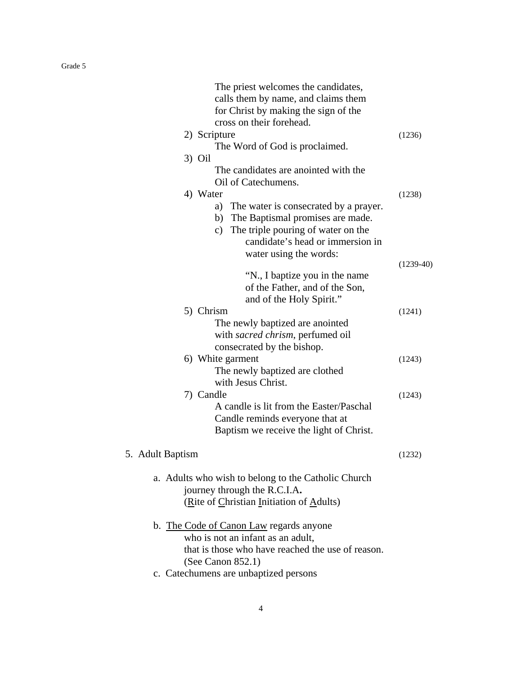| The priest welcomes the candidates,<br>calls them by name, and claims them<br>for Christ by making the sign of the<br>cross on their forehead.<br>2) Scripture<br>The Word of God is proclaimed.      | (1236)      |
|-------------------------------------------------------------------------------------------------------------------------------------------------------------------------------------------------------|-------------|
| $3)$ Oil<br>The candidates are anointed with the<br>Oil of Catechumens.                                                                                                                               |             |
| 4) Water<br>a) The water is consecrated by a prayer.<br>The Baptismal promises are made.<br>b)<br>c) The triple pouring of water on the<br>candidate's head or immersion in<br>water using the words: | (1238)      |
| "N., I baptize you in the name<br>of the Father, and of the Son,<br>and of the Holy Spirit."                                                                                                          | $(1239-40)$ |
| 5) Chrism<br>The newly baptized are anointed<br>with sacred chrism, perfumed oil<br>consecrated by the bishop.                                                                                        | (1241)      |
| 6) White garment<br>The newly baptized are clothed<br>with Jesus Christ.                                                                                                                              | (1243)      |
| 7) Candle<br>A candle is lit from the Easter/Paschal<br>Candle reminds everyone that at<br>Baptism we receive the light of Christ.                                                                    | (1243)      |
| 5. Adult Baptism                                                                                                                                                                                      | (1232)      |
| a. Adults who wish to belong to the Catholic Church<br>journey through the R.C.I.A.<br>(Rite of Christian Initiation of Adults)                                                                       |             |
| b. The Code of Canon Law regards anyone<br>who is not an infant as an adult,<br>that is those who have reached the use of reason.<br>(See Canon 852.1)                                                |             |
| c. Catechumens are unbaptized persons                                                                                                                                                                 |             |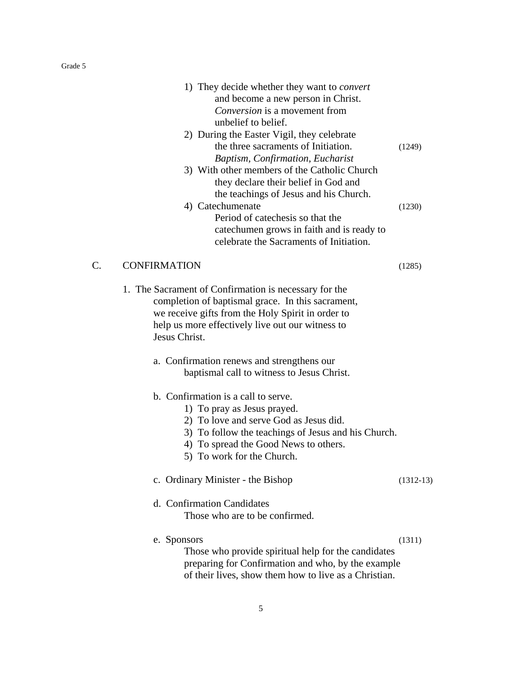|    | 1) They decide whether they want to <i>convert</i><br>and become a new person in Christ.<br>Conversion is a movement from<br>unbelief to belief.<br>2) During the Easter Vigil, they celebrate                                             |             |
|----|--------------------------------------------------------------------------------------------------------------------------------------------------------------------------------------------------------------------------------------------|-------------|
|    | the three sacraments of Initiation.<br>Baptism, Confirmation, Eucharist<br>3) With other members of the Catholic Church<br>they declare their belief in God and<br>the teachings of Jesus and his Church.                                  | (1249)      |
|    | 4) Catechumenate<br>Period of catechesis so that the<br>cate chumen grows in faith and is ready to<br>celebrate the Sacraments of Initiation.                                                                                              | (1230)      |
| C. | <b>CONFIRMATION</b>                                                                                                                                                                                                                        | (1285)      |
|    | 1. The Sacrament of Confirmation is necessary for the<br>completion of baptismal grace. In this sacrament,<br>we receive gifts from the Holy Spirit in order to<br>help us more effectively live out our witness to<br>Jesus Christ.       |             |
|    | a. Confirmation renews and strengthens our<br>baptismal call to witness to Jesus Christ.                                                                                                                                                   |             |
|    | b. Confirmation is a call to serve.<br>1) To pray as Jesus prayed.<br>2) To love and serve God as Jesus did.<br>3) To follow the teachings of Jesus and his Church.<br>4) To spread the Good News to others.<br>5) To work for the Church. |             |
|    | c. Ordinary Minister - the Bishop                                                                                                                                                                                                          | $(1312-13)$ |
|    | d. Confirmation Candidates<br>Those who are to be confirmed.                                                                                                                                                                               |             |
|    | e. Sponsors<br>Those who provide spiritual help for the candidates<br>preparing for Confirmation and who, by the example<br>of their lives, show them how to live as a Christian.                                                          | (1311)      |

5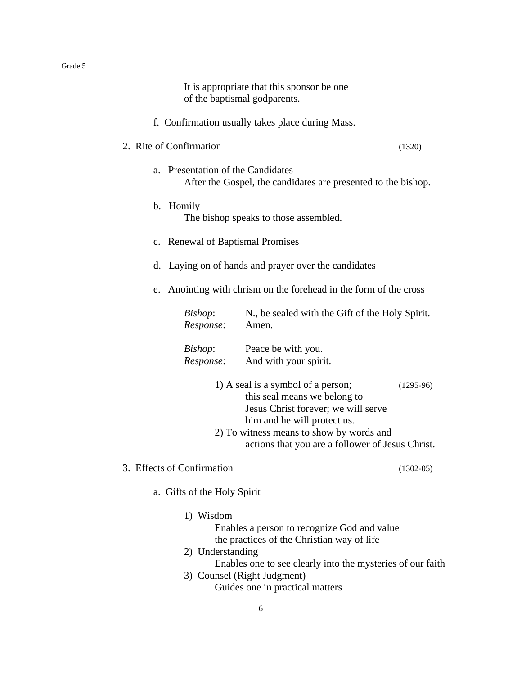It is appropriate that this sponsor be one of the baptismal godparents.

f. Confirmation usually takes place during Mass.

## 2. Rite of Confirmation (1320)

- a. Presentation of the Candidates After the Gospel, the candidates are presented to the bishop.
- b. Homily The bishop speaks to those assembled.
- c. Renewal of Baptismal Promises
- d. Laying on of hands and prayer over the candidates
- e. Anointing with chrism on the forehead in the form of the cross

| Bishop:   | N., be sealed with the Gift of the Holy Spirit. |
|-----------|-------------------------------------------------|
| Response: | Amen.                                           |
|           |                                                 |

| Bishop:   | Peace be with you.    |
|-----------|-----------------------|
| Response: | And with your spirit. |

- 1) A seal is a symbol of a person; (1295-96) this seal means we belong to Jesus Christ forever; we will serve him and he will protect us. 2) To witness means to show by words and actions that you are a follower of Jesus Christ.
- 3. Effects of Confirmation (1302-05)

- a. Gifts of the Holy Spirit
	- 1) Wisdom
		- Enables a person to recognize God and value the practices of the Christian way of life
	- 2) Understanding Enables one to see clearly into the mysteries of our faith 3) Counsel (Right Judgment)
		- Guides one in practical matters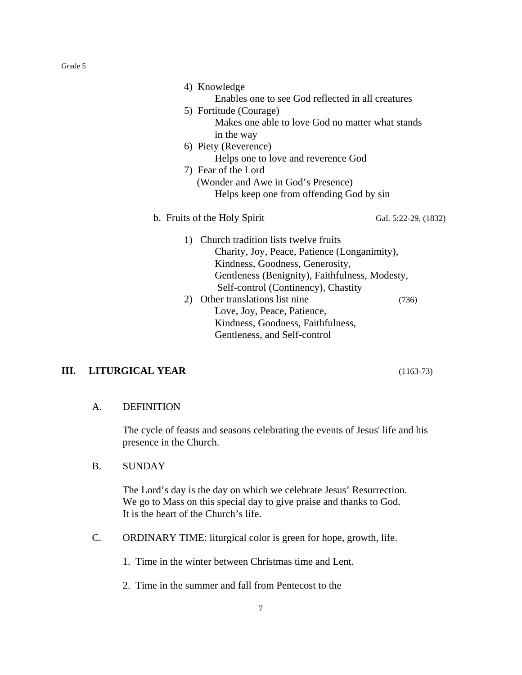|    | 4) Knowledge                                      |                      |
|----|---------------------------------------------------|----------------------|
|    | Enables one to see God reflected in all creatures |                      |
|    | 5) Fortitude (Courage)                            |                      |
|    | Makes one able to love God no matter what stands  |                      |
|    | in the way                                        |                      |
|    | 6) Piety (Reverence)                              |                      |
|    | Helps one to love and reverence God               |                      |
|    | 7) Fear of the Lord                               |                      |
|    | (Wonder and Awe in God's Presence)                |                      |
|    | Helps keep one from offending God by sin          |                      |
|    | b. Fruits of the Holy Spirit                      | Gal. 5:22-29, (1832) |
| 1) | Church tradition lists twelve fruits              |                      |
|    | Charity, Joy, Peace, Patience (Longanimity),      |                      |
|    | Kindness, Goodness, Generosity,                   |                      |
|    | Gentleness (Benignity), Faithfulness, Modesty,    |                      |
|    | Self-control (Continency), Chastity               |                      |
| 2) | Other translations list nine                      | (736)                |
|    | Love, Joy, Peace, Patience,                       |                      |
|    | Kindness, Goodness, Faithfulness,                 |                      |
|    | Gentleness, and Self-control                      |                      |
|    |                                                   |                      |

## **III. LITURGICAL YEAR** (1163-73)

## A. DEFINITION

The cycle of feasts and seasons celebrating the events of Jesus' life and his presence in the Church.

B. SUNDAY

The Lord's day is the day on which we celebrate Jesus' Resurrection. We go to Mass on this special day to give praise and thanks to God. It is the heart of the Church's life.

C. ORDINARY TIME: liturgical color is green for hope, growth, life.

1. Time in the winter between Christmas time and Lent.

2. Time in the summer and fall from Pentecost to the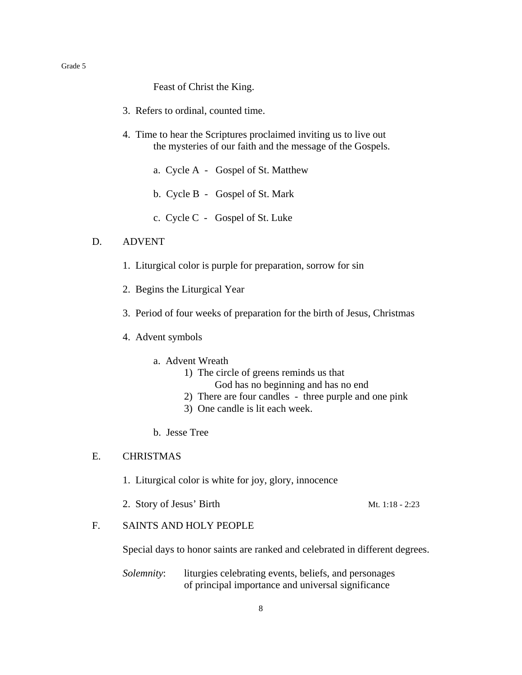Feast of Christ the King.

- 3. Refers to ordinal, counted time.
- 4. Time to hear the Scriptures proclaimed inviting us to live out the mysteries of our faith and the message of the Gospels.
	- a. Cycle A Gospel of St. Matthew
	- b. Cycle B Gospel of St. Mark
	- c. Cycle C Gospel of St. Luke

#### D. ADVENT

- 1. Liturgical color is purple for preparation, sorrow for sin
- 2. Begins the Liturgical Year
- 3. Period of four weeks of preparation for the birth of Jesus, Christmas
- 4. Advent symbols
	- a. Advent Wreath
		- 1) The circle of greens reminds us that
			- God has no beginning and has no end
		- 2) There are four candles three purple and one pink
		- 3) One candle is lit each week.
	- b. Jesse Tree

## E. CHRISTMAS

- 1. Liturgical color is white for joy, glory, innocence
- 2. Story of Jesus' Birth Mt. 1:18 2:23
- F. SAINTS AND HOLY PEOPLE

Special days to honor saints are ranked and celebrated in different degrees.

*Solemnity*: liturgies celebrating events, beliefs, and personages of principal importance and universal significance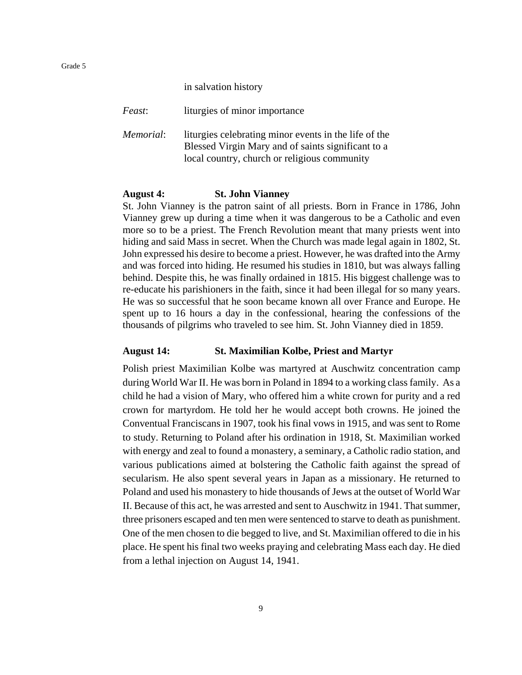|  | in salvation history |
|--|----------------------|
|  |                      |

| Feast:    | liturgies of minor importance                                                                                                                               |
|-----------|-------------------------------------------------------------------------------------------------------------------------------------------------------------|
| Memorial: | liturgies celebrating minor events in the life of the<br>Blessed Virgin Mary and of saints significant to a<br>local country, church or religious community |

#### **August 4: St. John Vianney**

St. John Vianney is the patron saint of all priests. Born in France in 1786, John Vianney grew up during a time when it was dangerous to be a Catholic and even more so to be a priest. The French Revolution meant that many priests went into hiding and said Mass in secret. When the Church was made legal again in 1802, St. John expressed his desire to become a priest. However, he was drafted into the Army and was forced into hiding. He resumed his studies in 1810, but was always falling behind. Despite this, he was finally ordained in 1815. His biggest challenge was to re-educate his parishioners in the faith, since it had been illegal for so many years. He was so successful that he soon became known all over France and Europe. He spent up to 16 hours a day in the confessional, hearing the confessions of the thousands of pilgrims who traveled to see him. St. John Vianney died in 1859.

#### **August 14: St. Maximilian Kolbe, Priest and Martyr**

Polish priest Maximilian Kolbe was martyred at Auschwitz concentration camp during World War II. He was born in Poland in 1894 to a working class family. As a child he had a vision of Mary, who offered him a white crown for purity and a red crown for martyrdom. He told her he would accept both crowns. He joined the Conventual Franciscans in 1907, took his final vows in 1915, and was sent to Rome to study. Returning to Poland after his ordination in 1918, St. Maximilian worked with energy and zeal to found a monastery, a seminary, a Catholic radio station, and various publications aimed at bolstering the Catholic faith against the spread of secularism. He also spent several years in Japan as a missionary. He returned to Poland and used his monastery to hide thousands of Jews at the outset of World War II. Because of this act, he was arrested and sent to Auschwitz in 1941. That summer, three prisoners escaped and ten men were sentenced to starve to death as punishment. One of the men chosen to die begged to live, and St. Maximilian offered to die in his place. He spent his final two weeks praying and celebrating Mass each day. He died from a lethal injection on August 14, 1941.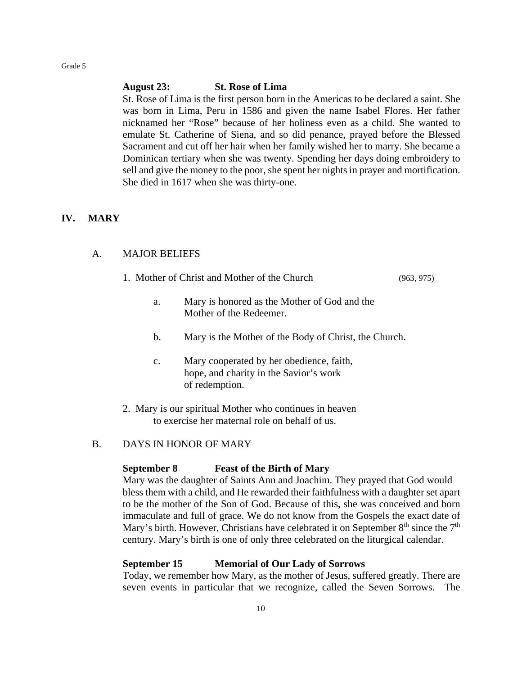#### **August 23: St. Rose of Lima**

St. Rose of Lima is the first person born in the Americas to be declared a saint. She was born in Lima, Peru in 1586 and given the name Isabel Flores. Her father nicknamed her "Rose" because of her holiness even as a child. She wanted to emulate St. Catherine of Siena, and so did penance, prayed before the Blessed Sacrament and cut off her hair when her family wished her to marry. She became a Dominican tertiary when she was twenty. Spending her days doing embroidery to sell and give the money to the poor, she spent her nights in prayer and mortification. She died in 1617 when she was thirty-one.

## **IV. MARY**

## A. MAJOR BELIEFS

- 1. Mother of Christ and Mother of the Church (963, 975)
	- a. Mary is honored as the Mother of God and the Mother of the Redeemer.
	- b. Mary is the Mother of the Body of Christ, the Church.
	- c. Mary cooperated by her obedience, faith, hope, and charity in the Savior's work of redemption.
- 2. Mary is our spiritual Mother who continues in heaven to exercise her maternal role on behalf of us.
- B. DAYS IN HONOR OF MARY

#### **September 8 Feast of the Birth of Mary**

Mary was the daughter of Saints Ann and Joachim. They prayed that God would bless them with a child, and He rewarded their faithfulness with a daughter set apart to be the mother of the Son of God. Because of this, she was conceived and born immaculate and full of grace. We do not know from the Gospels the exact date of Mary's birth. However, Christians have celebrated it on September  $8<sup>th</sup>$  since the  $7<sup>th</sup>$ century. Mary's birth is one of only three celebrated on the liturgical calendar.

#### **September 15 Memorial of Our Lady of Sorrows**

Today, we remember how Mary, as the mother of Jesus, suffered greatly. There are seven events in particular that we recognize, called the Seven Sorrows. The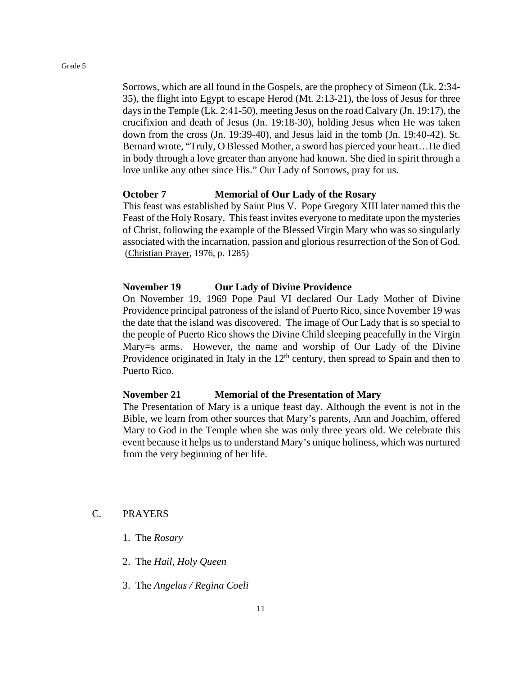Sorrows, which are all found in the Gospels, are the prophecy of Simeon (Lk. 2:34- 35), the flight into Egypt to escape Herod (Mt. 2:13-21), the loss of Jesus for three days in the Temple (Lk. 2:41-50), meeting Jesus on the road Calvary (Jn. 19:17), the crucifixion and death of Jesus (Jn. 19:18-30), holding Jesus when He was taken down from the cross (Jn. 19:39-40), and Jesus laid in the tomb (Jn. 19:40-42). St. Bernard wrote, "Truly, O Blessed Mother, a sword has pierced your heart…He died in body through a love greater than anyone had known. She died in spirit through a love unlike any other since His." Our Lady of Sorrows, pray for us.

#### **October 7 Memorial of Our Lady of the Rosary**

This feast was established by Saint Pius V. Pope Gregory XIII later named this the Feast of the Holy Rosary. This feast invites everyone to meditate upon the mysteries of Christ, following the example of the Blessed Virgin Mary who was so singularly associated with the incarnation, passion and glorious resurrection of the Son of God. (Christian Prayer, 1976, p. 1285)

#### **November 19 Our Lady of Divine Providence**

On November 19, 1969 Pope Paul VI declared Our Lady Mother of Divine Providence principal patroness of the island of Puerto Rico, since November 19 was the date that the island was discovered. The image of Our Lady that is so special to the people of Puerto Rico shows the Divine Child sleeping peacefully in the Virgin Mary=s arms. However, the name and worship of Our Lady of the Divine Providence originated in Italy in the  $12<sup>th</sup>$  century, then spread to Spain and then to Puerto Rico.

#### **November 21 Memorial of the Presentation of Mary**

The Presentation of Mary is a unique feast day. Although the event is not in the Bible, we learn from other sources that Mary's parents, Ann and Joachim, offered Mary to God in the Temple when she was only three years old. We celebrate this event because it helps us to understand Mary's unique holiness, which was nurtured from the very beginning of her life.

#### C. PRAYERS

- 1. The *Rosary*
- 2. The *Hail, Holy Queen*
- 3. The *Angelus / Regina Coeli*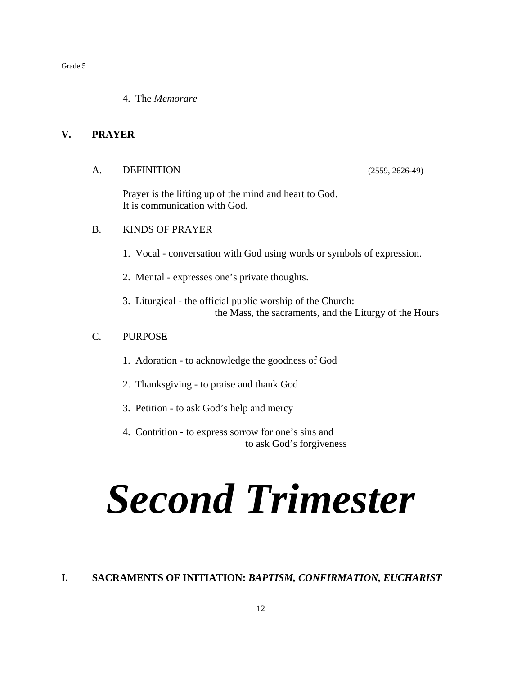4. The *Memorare*

## **V. PRAYER**

A. DEFINITION (2559, 2626-49)

Prayer is the lifting up of the mind and heart to God. It is communication with God.

#### B. KINDS OF PRAYER

- 1. Vocal conversation with God using words or symbols of expression.
- 2. Mental expresses one's private thoughts.
- 3. Liturgical the official public worship of the Church: the Mass, the sacraments, and the Liturgy of the Hours

## C. PURPOSE

- 1. Adoration to acknowledge the goodness of God
- 2. Thanksgiving to praise and thank God
- 3. Petition to ask God's help and mercy
- 4. Contrition to express sorrow for one's sins and to ask God's forgiveness

# *Second Trimester*

## **I. SACRAMENTS OF INITIATION:** *BAPTISM, CONFIRMATION, EUCHARIST*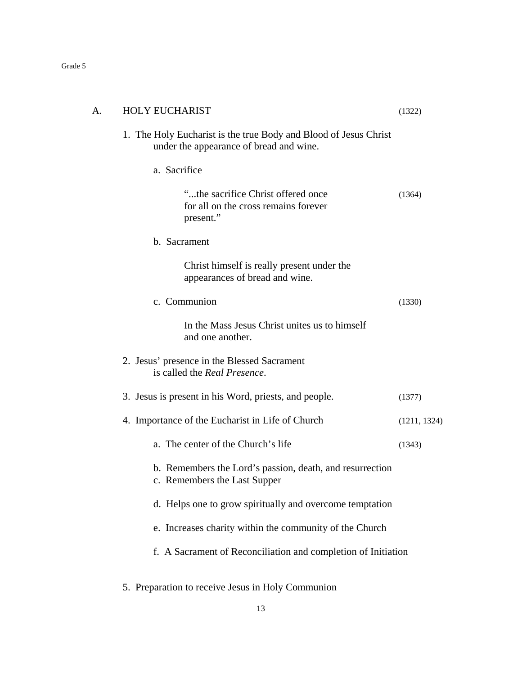| A. | HOLY EUCHARIST                                                                                              | (1322)       |
|----|-------------------------------------------------------------------------------------------------------------|--------------|
|    | 1. The Holy Eucharist is the true Body and Blood of Jesus Christ<br>under the appearance of bread and wine. |              |
|    | a. Sacrifice                                                                                                |              |
|    | "the sacrifice Christ offered once<br>for all on the cross remains forever<br>present."                     | (1364)       |
|    | b. Sacrament                                                                                                |              |
|    | Christ himself is really present under the<br>appearances of bread and wine.                                |              |
|    | c. Communion                                                                                                | (1330)       |
|    | In the Mass Jesus Christ unites us to himself<br>and one another.                                           |              |
|    | 2. Jesus' presence in the Blessed Sacrament<br>is called the Real Presence.                                 |              |
|    | 3. Jesus is present in his Word, priests, and people.                                                       | (1377)       |
|    | 4. Importance of the Eucharist in Life of Church                                                            | (1211, 1324) |
|    | a. The center of the Church's life                                                                          | (1343)       |
|    | b. Remembers the Lord's passion, death, and resurrection<br>c. Remembers the Last Supper                    |              |
|    | d. Helps one to grow spiritually and overcome temptation                                                    |              |
|    | e. Increases charity within the community of the Church                                                     |              |
|    | f. A Sacrament of Reconciliation and completion of Initiation                                               |              |
|    |                                                                                                             |              |

5. Preparation to receive Jesus in Holy Communion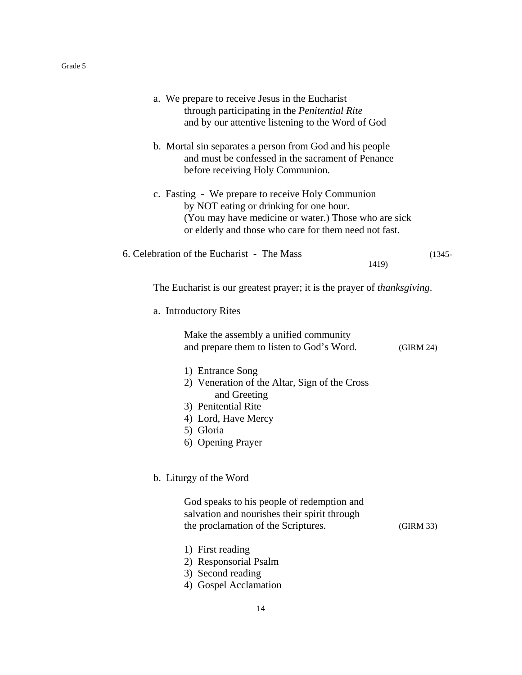| a. We prepare to receive Jesus in the Eucharist<br>through participating in the Penitential Rite<br>and by our attentive listening to the Word of God                                                         |           |
|---------------------------------------------------------------------------------------------------------------------------------------------------------------------------------------------------------------|-----------|
| b. Mortal sin separates a person from God and his people<br>and must be confessed in the sacrament of Penance<br>before receiving Holy Communion.                                                             |           |
| c. Fasting - We prepare to receive Holy Communion<br>by NOT eating or drinking for one hour.<br>(You may have medicine or water.) Those who are sick<br>or elderly and those who care for them need not fast. |           |
| 6. Celebration of the Eucharist - The Mass<br>1419)                                                                                                                                                           | $(1345 -$ |
| The Eucharist is our greatest prayer; it is the prayer of thanksgiving.                                                                                                                                       |           |
| a. Introductory Rites                                                                                                                                                                                         |           |
| Make the assembly a unified community<br>and prepare them to listen to God's Word.                                                                                                                            | (GIRM 24) |
| 1) Entrance Song<br>2) Veneration of the Altar, Sign of the Cross<br>and Greeting<br>3) Penitential Rite<br>4) Lord, Have Mercy<br>5) Gloria<br>6) Opening Prayer                                             |           |
| b. Liturgy of the Word                                                                                                                                                                                        |           |
| God speaks to his people of redemption and<br>salvation and nourishes their spirit through<br>the proclamation of the Scriptures.                                                                             | (GIRM 33) |
| 1) First reading<br>2) Responsorial Psalm<br>3) Second reading<br>4) Gospel Acclamation                                                                                                                       |           |
| 14                                                                                                                                                                                                            |           |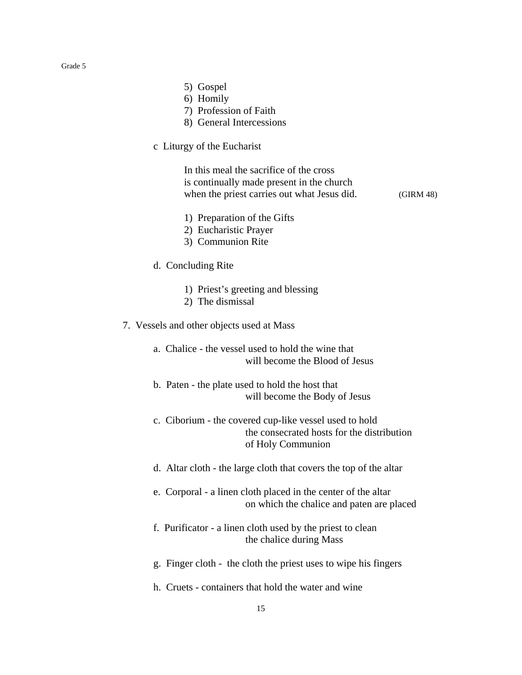- 5) Gospel
- 6) Homily
- 7) Profession of Faith
- 8) General Intercessions
- c Liturgy of the Eucharist

In this meal the sacrifice of the cross is continually made present in the church when the priest carries out what Jesus did. (GIRM 48)

- 1) Preparation of the Gifts
- 2) Eucharistic Prayer
- 3) Communion Rite
- d. Concluding Rite
	- 1) Priest's greeting and blessing
	- 2) The dismissal
- 7. Vessels and other objects used at Mass
	- a. Chalice the vessel used to hold the wine that will become the Blood of Jesus
	- b. Paten the plate used to hold the host that will become the Body of Jesus
	- c. Ciborium the covered cup-like vessel used to hold the consecrated hosts for the distribution of Holy Communion
	- d. Altar cloth the large cloth that covers the top of the altar
	- e. Corporal a linen cloth placed in the center of the altar on which the chalice and paten are placed
	- f. Purificator a linen cloth used by the priest to clean the chalice during Mass
	- g. Finger cloth the cloth the priest uses to wipe his fingers
	- h. Cruets containers that hold the water and wine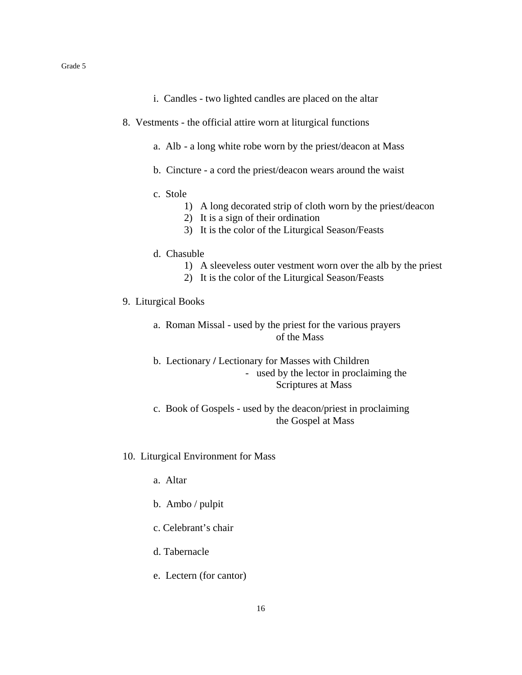- i. Candles two lighted candles are placed on the altar
- 8. Vestments the official attire worn at liturgical functions
	- a. Alb a long white robe worn by the priest/deacon at Mass
	- b. Cincture a cord the priest/deacon wears around the waist
	- c. Stole
		- 1) A long decorated strip of cloth worn by the priest/deacon
		- 2) It is a sign of their ordination
		- 3) It is the color of the Liturgical Season/Feasts
	- d. Chasuble
		- 1) A sleeveless outer vestment worn over the alb by the priest
		- 2) It is the color of the Liturgical Season/Feasts
- 9. Liturgical Books
	- a. Roman Missal used by the priest for the various prayers of the Mass
	- b. Lectionary **/** Lectionary for Masses with Children - used by the lector in proclaiming the Scriptures at Mass
	- c. Book of Gospels used by the deacon/priest in proclaiming the Gospel at Mass
- 10. Liturgical Environment for Mass
	- a. Altar
	- b. Ambo / pulpit
	- c. Celebrant's chair
	- d. Tabernacle
	- e. Lectern (for cantor)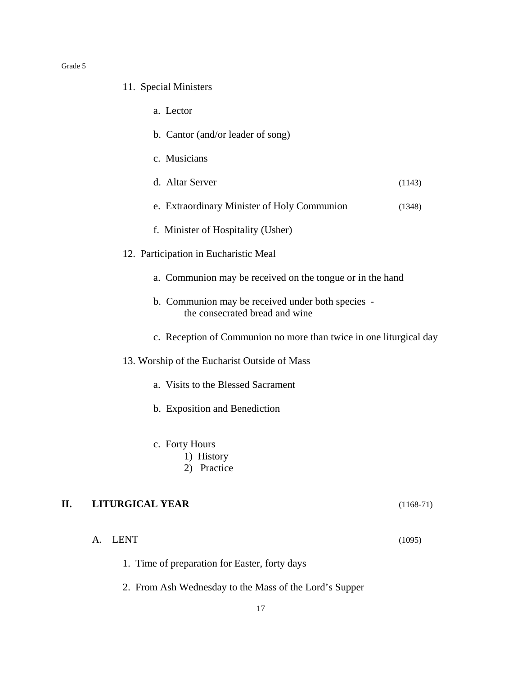#### 11. Special Ministers

- a. Lector
- b. Cantor (and/or leader of song)
- c. Musicians
- d. Altar Server (1143)
- e. Extraordinary Minister of Holy Communion (1348)
- f. Minister of Hospitality (Usher)
- 12. Participation in Eucharistic Meal
	- a. Communion may be received on the tongue or in the hand
	- b. Communion may be received under both species the consecrated bread and wine
	- c. Reception of Communion no more than twice in one liturgical day
- 13. Worship of the Eucharist Outside of Mass
	- a. Visits to the Blessed Sacrament
	- b. Exposition and Benediction
	- c. Forty Hours
		- 1) History
		- 2) Practice

## **II. LITURGICAL YEAR** (1168-71)

- A. LENT (1095)
	- 1. Time of preparation for Easter, forty days
	- 2. From Ash Wednesday to the Mass of the Lord's Supper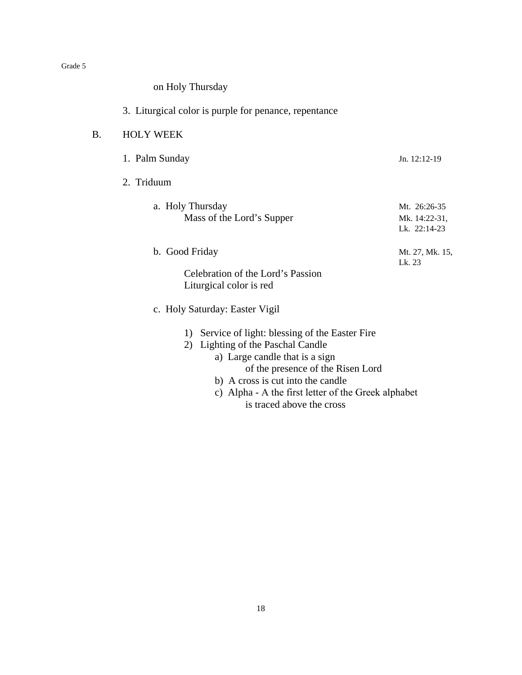on Holy Thursday

## 3. Liturgical color is purple for penance, repentance

## B. HOLY WEEK

| 1. Palm Sunday                                                                 | $Jn. 12:12-19$                                   |
|--------------------------------------------------------------------------------|--------------------------------------------------|
| 2. Triduum                                                                     |                                                  |
| a. Holy Thursday<br>Mass of the Lord's Supper                                  | Mt. 26:26-35<br>Mk. 14:22-31,<br>Lk. 22:14-23    |
| b. Good Friday<br>Celebration of the Lord's Passion<br>Liturgical color is red | Mt. 27, Mk. 15,<br>Lk. 23                        |
| c. Holy Saturday: Easter Vigil                                                 |                                                  |
|                                                                                | 1) Service of light: blessing of the Easter Fire |

- 2) Lighting of the Paschal Candle
	- a) Large candle that is a sign of the presence of the Risen Lord
		- b) A cross is cut into the candle
		- c) Alpha Α the first letter of the Greek alphabet is traced above the cross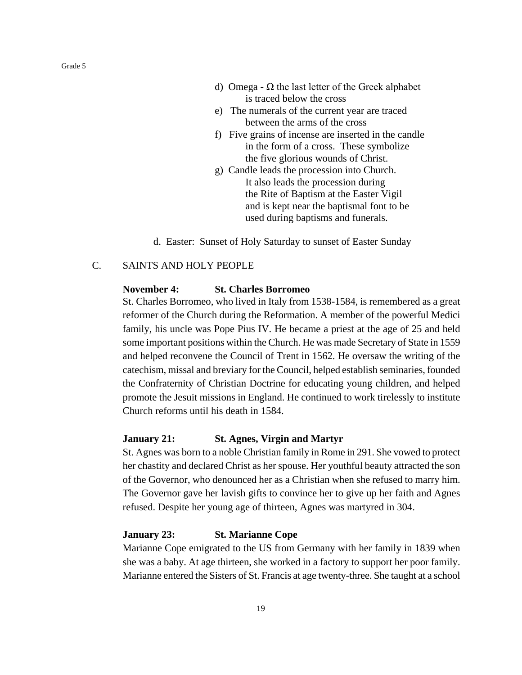d) Omega -  $\Omega$  the last letter of the Greek alphabet is traced below the cross

- e) The numerals of the current year are traced between the arms of the cross
- f) Five grains of incense are inserted in the candle in the form of a cross. These symbolize the five glorious wounds of Christ.
- g) Candle leads the procession into Church. It also leads the procession during the Rite of Baptism at the Easter Vigil and is kept near the baptismal font to be used during baptisms and funerals.
- d. Easter: Sunset of Holy Saturday to sunset of Easter Sunday

## C. SAINTS AND HOLY PEOPLE

#### **November 4: St. Charles Borromeo**

St. Charles Borromeo, who lived in Italy from 1538-1584, is remembered as a great reformer of the Church during the Reformation. A member of the powerful Medici family, his uncle was Pope Pius IV. He became a priest at the age of 25 and held some important positions within the Church. He was made Secretary of State in 1559 and helped reconvene the Council of Trent in 1562. He oversaw the writing of the catechism, missal and breviary for the Council, helped establish seminaries, founded the Confraternity of Christian Doctrine for educating young children, and helped promote the Jesuit missions in England. He continued to work tirelessly to institute Church reforms until his death in 1584.

#### **January 21: St. Agnes, Virgin and Martyr**

St. Agnes was born to a noble Christian family in Rome in 291. She vowed to protect her chastity and declared Christ as her spouse. Her youthful beauty attracted the son of the Governor, who denounced her as a Christian when she refused to marry him. The Governor gave her lavish gifts to convince her to give up her faith and Agnes refused. Despite her young age of thirteen, Agnes was martyred in 304.

#### **January 23: St. Marianne Cope**

Marianne Cope emigrated to the US from Germany with her family in 1839 when she was a baby. At age thirteen, she worked in a factory to support her poor family. Marianne entered the Sisters of St. Francis at age twenty-three. She taught at a school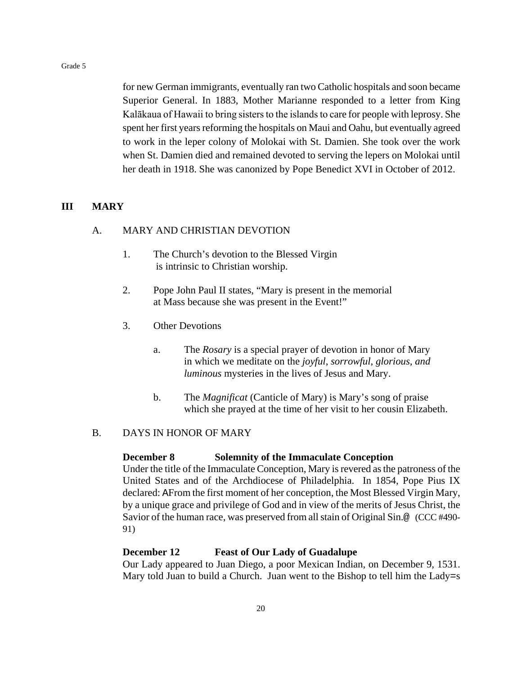for new German immigrants, eventually ran two Catholic hospitals and soon became Superior General. In 1883, Mother Marianne responded to a letter from King Kalākaua of Hawaii to bring sisters to the islands to care for people with leprosy. She spent her first years reforming the hospitals on Maui and Oahu, but eventually agreed to work in the leper colony of Molokai with St. Damien. She took over the work when St. Damien died and remained devoted to serving the lepers on Molokai until her death in 1918. She was canonized by Pope Benedict XVI in October of 2012.

## **III MARY**

#### A. MARY AND CHRISTIAN DEVOTION

- 1. The Church's devotion to the Blessed Virgin is intrinsic to Christian worship.
- 2. Pope John Paul II states, "Mary is present in the memorial at Mass because she was present in the Event!"
- 3. Other Devotions
	- a. The *Rosary* is a special prayer of devotion in honor of Mary in which we meditate on the *joyful*, *sorrowful*, *glorious, and luminous* mysteries in the lives of Jesus and Mary.
	- b. The *Magnificat* (Canticle of Mary) is Mary's song of praise which she prayed at the time of her visit to her cousin Elizabeth.

## B. DAYS IN HONOR OF MARY

#### **December 8 Solemnity of the Immaculate Conception**

Under the title of the Immaculate Conception, Mary is revered as the patroness of the United States and of the Archdiocese of Philadelphia. In 1854, Pope Pius IX declared: AFrom the first moment of her conception, the Most Blessed Virgin Mary, by a unique grace and privilege of God and in view of the merits of Jesus Christ, the Savior of the human race, was preserved from all stain of Original Sin.@ (CCC #490- 91)

#### **December 12 Feast of Our Lady of Guadalupe**

Our Lady appeared to Juan Diego, a poor Mexican Indian, on December 9, 1531. Mary told Juan to build a Church. Juan went to the Bishop to tell him the Lady=s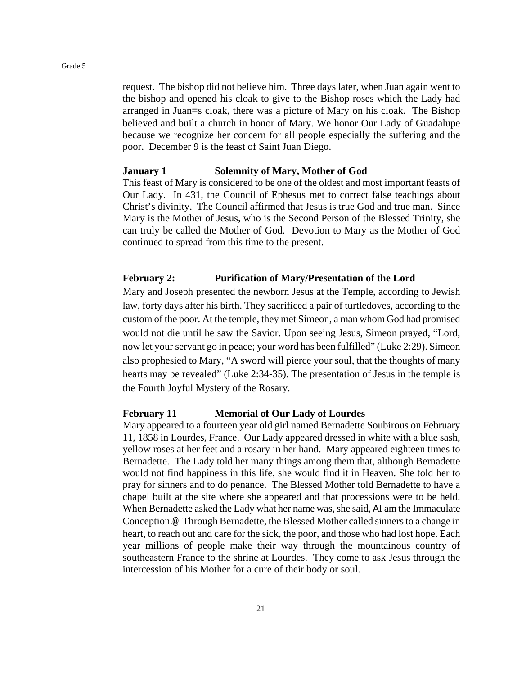request. The bishop did not believe him. Three days later, when Juan again went to the bishop and opened his cloak to give to the Bishop roses which the Lady had arranged in Juan=s cloak, there was a picture of Mary on his cloak. The Bishop believed and built a church in honor of Mary. We honor Our Lady of Guadalupe because we recognize her concern for all people especially the suffering and the poor. December 9 is the feast of Saint Juan Diego.

#### **January 1 Solemnity of Mary, Mother of God**

This feast of Mary is considered to be one of the oldest and most important feasts of Our Lady. In 431, the Council of Ephesus met to correct false teachings about Christ's divinity. The Council affirmed that Jesus is true God and true man. Since Mary is the Mother of Jesus, who is the Second Person of the Blessed Trinity, she can truly be called the Mother of God. Devotion to Mary as the Mother of God continued to spread from this time to the present.

### **February 2: Purification of Mary/Presentation of the Lord**

Mary and Joseph presented the newborn Jesus at the Temple, according to Jewish law, forty days after his birth. They sacrificed a pair of turtledoves, according to the custom of the poor. At the temple, they met Simeon, a man whom God had promised would not die until he saw the Savior. Upon seeing Jesus, Simeon prayed, "Lord, now let your servant go in peace; your word has been fulfilled" (Luke 2:29). Simeon also prophesied to Mary, "A sword will pierce your soul, that the thoughts of many hearts may be revealed" (Luke 2:34-35). The presentation of Jesus in the temple is the Fourth Joyful Mystery of the Rosary.

#### **February 11 Memorial of Our Lady of Lourdes**

Mary appeared to a fourteen year old girl named Bernadette Soubirous on February 11, 1858 in Lourdes, France. Our Lady appeared dressed in white with a blue sash, yellow roses at her feet and a rosary in her hand. Mary appeared eighteen times to Bernadette. The Lady told her many things among them that, although Bernadette would not find happiness in this life, she would find it in Heaven. She told her to pray for sinners and to do penance. The Blessed Mother told Bernadette to have a chapel built at the site where she appeared and that processions were to be held. When Bernadette asked the Lady what her name was, she said, AI am the Immaculate Conception.@ Through Bernadette, the Blessed Mother called sinners to a change in heart, to reach out and care for the sick, the poor, and those who had lost hope. Each year millions of people make their way through the mountainous country of southeastern France to the shrine at Lourdes. They come to ask Jesus through the intercession of his Mother for a cure of their body or soul.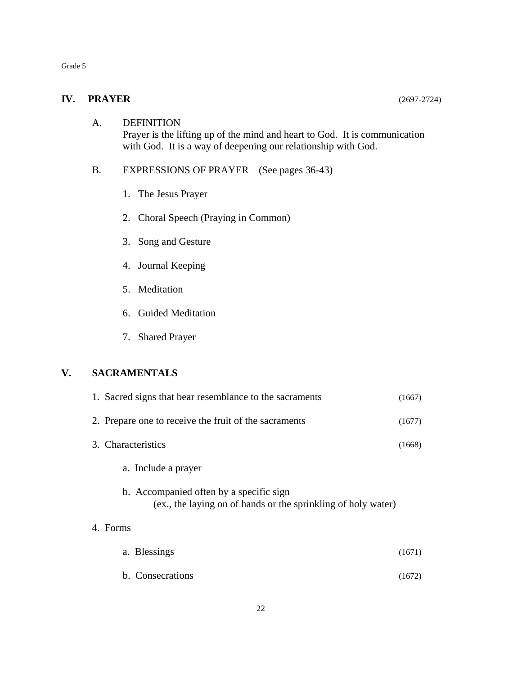## **IV. PRAYER** (2697-2724)

## A. DEFINITION Prayer is the lifting up of the mind and heart to God. It is communication with God. It is a way of deepening our relationship with God.

## B. EXPRESSIONS OF PRAYER (See pages 36-43)

- 1. The Jesus Prayer
- 2. Choral Speech (Praying in Common)
- 3. Song and Gesture
- 4. Journal Keeping
- 5. Meditation
- 6. Guided Meditation
- 7. Shared Prayer

## **V. SACRAMENTALS**

|                    | 1. Sacred signs that bear resemblance to the sacraments                                                  | (1667) |
|--------------------|----------------------------------------------------------------------------------------------------------|--------|
|                    | 2. Prepare one to receive the fruit of the sacraments                                                    | (1677) |
| 3. Characteristics |                                                                                                          | (1668) |
|                    | a. Include a prayer                                                                                      |        |
|                    | b. Accompanied often by a specific sign<br>(ex., the laying on of hands or the sprinkling of holy water) |        |
| 4. Forms           |                                                                                                          |        |
|                    | a. Blessings                                                                                             | (1671) |
|                    | b. Consecrations                                                                                         | (1672) |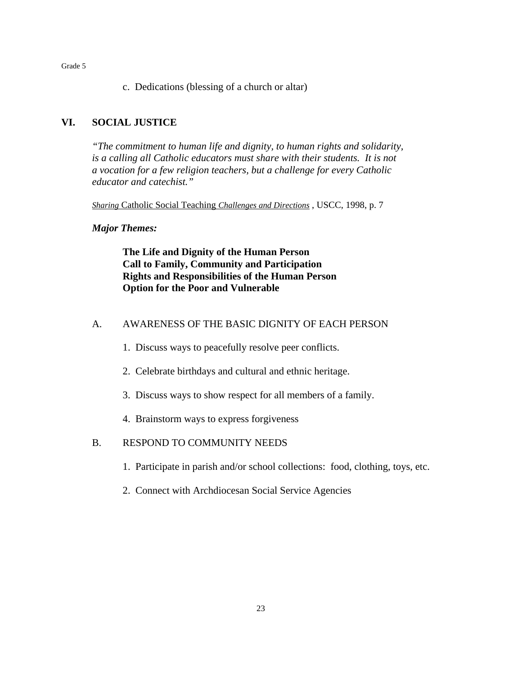c. Dedications (blessing of a church or altar)

## **VI. SOCIAL JUSTICE**

*"The commitment to human life and dignity, to human rights and solidarity, is a calling all Catholic educators must share with their students. It is not a vocation for a few religion teachers, but a challenge for every Catholic educator and catechist."*

*Sharing* Catholic Social Teaching *Challenges and Directions* , USCC, 1998, p. 7

## *Major Themes:*

**The Life and Dignity of the Human Person Call to Family, Community and Participation Rights and Responsibilities of the Human Person Option for the Poor and Vulnerable**

## A. AWARENESS OF THE BASIC DIGNITY OF EACH PERSON

- 1. Discuss ways to peacefully resolve peer conflicts.
- 2. Celebrate birthdays and cultural and ethnic heritage.
- 3. Discuss ways to show respect for all members of a family.
- 4. Brainstorm ways to express forgiveness

## B. RESPOND TO COMMUNITY NEEDS

- 1. Participate in parish and/or school collections: food, clothing, toys, etc.
- 2. Connect with Archdiocesan Social Service Agencies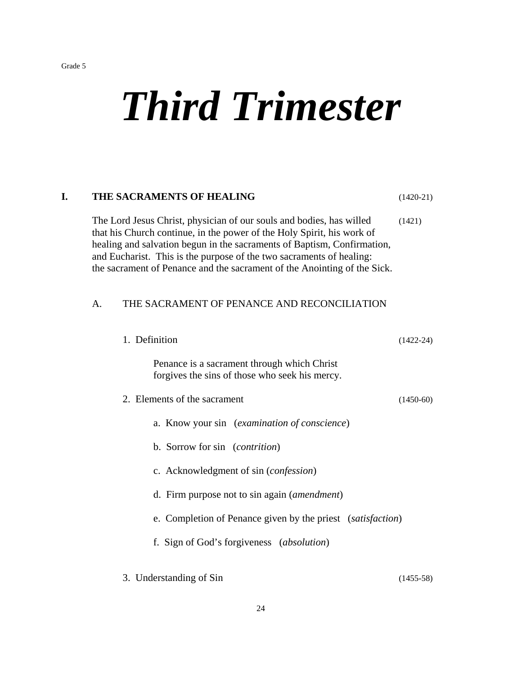# *Third Trimester*

| I.                      | THE SACRAMENTS OF HEALING<br>$(1420-21)$<br>The Lord Jesus Christ, physician of our souls and bodies, has willed<br>(1421)<br>that his Church continue, in the power of the Holy Spirit, his work of<br>healing and salvation begun in the sacraments of Baptism, Confirmation,<br>and Eucharist. This is the purpose of the two sacraments of healing:<br>the sacrament of Penance and the sacrament of the Anointing of the Sick. |                                                                                               |               |  |
|-------------------------|-------------------------------------------------------------------------------------------------------------------------------------------------------------------------------------------------------------------------------------------------------------------------------------------------------------------------------------------------------------------------------------------------------------------------------------|-----------------------------------------------------------------------------------------------|---------------|--|
|                         |                                                                                                                                                                                                                                                                                                                                                                                                                                     |                                                                                               |               |  |
|                         | THE SACRAMENT OF PENANCE AND RECONCILIATION<br>A.                                                                                                                                                                                                                                                                                                                                                                                   |                                                                                               |               |  |
|                         |                                                                                                                                                                                                                                                                                                                                                                                                                                     | 1. Definition                                                                                 | $(1422 - 24)$ |  |
|                         |                                                                                                                                                                                                                                                                                                                                                                                                                                     | Penance is a sacrament through which Christ<br>forgives the sins of those who seek his mercy. |               |  |
|                         |                                                                                                                                                                                                                                                                                                                                                                                                                                     | 2. Elements of the sacrament                                                                  | $(1450-60)$   |  |
|                         |                                                                                                                                                                                                                                                                                                                                                                                                                                     | a. Know your sin (examination of conscience)                                                  |               |  |
|                         |                                                                                                                                                                                                                                                                                                                                                                                                                                     | b. Sorrow for sin (contrition)                                                                |               |  |
|                         |                                                                                                                                                                                                                                                                                                                                                                                                                                     | c. Acknowledgment of sin (confession)                                                         |               |  |
|                         |                                                                                                                                                                                                                                                                                                                                                                                                                                     | d. Firm purpose not to sin again ( <i>amendment</i> )                                         |               |  |
|                         |                                                                                                                                                                                                                                                                                                                                                                                                                                     | e. Completion of Penance given by the priest (satisfaction)                                   |               |  |
|                         |                                                                                                                                                                                                                                                                                                                                                                                                                                     | f. Sign of God's forgiveness (absolution)                                                     |               |  |
| 3. Understanding of Sin |                                                                                                                                                                                                                                                                                                                                                                                                                                     |                                                                                               | $(1455-58)$   |  |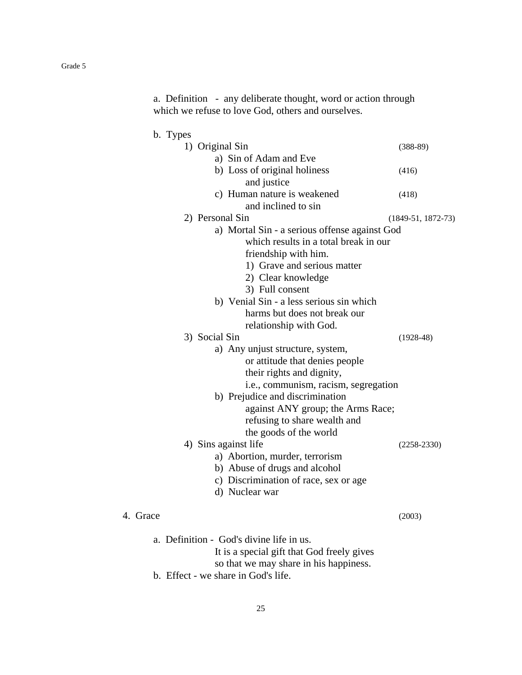a. Definition - any deliberate thought, word or action through which we refuse to love God, others and ourselves.

## b. Types

| 1) Original Sin                               | $(388-89)$           |
|-----------------------------------------------|----------------------|
| a) Sin of Adam and Eve                        |                      |
| b) Loss of original holiness                  | (416)                |
| and justice                                   |                      |
| c) Human nature is weakened                   | (418)                |
| and inclined to sin                           |                      |
| 2) Personal Sin                               | $(1849-51, 1872-73)$ |
| a) Mortal Sin - a serious offense against God |                      |
| which results in a total break in our         |                      |
| friendship with him.                          |                      |
| 1) Grave and serious matter                   |                      |
| 2) Clear knowledge                            |                      |
| 3) Full consent                               |                      |
| b) Venial Sin - a less serious sin which      |                      |
| harms but does not break our                  |                      |
| relationship with God.                        |                      |
| 3) Social Sin                                 | $(1928-48)$          |
| a) Any unjust structure, system,              |                      |
| or attitude that denies people                |                      |
| their rights and dignity,                     |                      |
| i.e., communism, racism, segregation          |                      |
| b) Prejudice and discrimination               |                      |
| against ANY group; the Arms Race;             |                      |
| refusing to share wealth and                  |                      |
| the goods of the world                        |                      |
| 4) Sins against life                          | $(2258 - 2330)$      |
| a) Abortion, murder, terrorism                |                      |
| b) Abuse of drugs and alcohol                 |                      |
| c) Discrimination of race, sex or age         |                      |
| d) Nuclear war                                |                      |
| æ                                             | (2003)               |
| a. Definition - God's divine life in us.      |                      |
| It is a special gift that God freely gives    |                      |

- so that we may share in his happiness.
- b. Effect we share in God's life.

4. Grace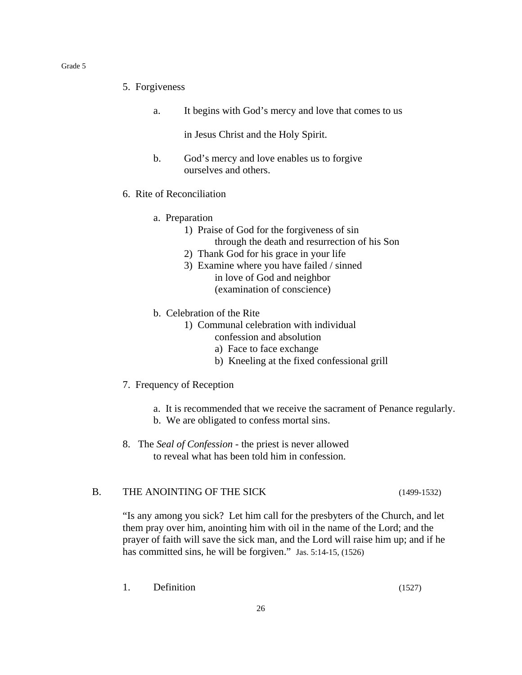- 5. Forgiveness
	- a. It begins with God's mercy and love that comes to us

in Jesus Christ and the Holy Spirit.

- b. God's mercy and love enables us to forgive ourselves and others.
- 6. Rite of Reconciliation
	- a. Preparation
		- 1) Praise of God for the forgiveness of sin through the death and resurrection of his Son
		- 2) Thank God for his grace in your life
		- 3) Examine where you have failed / sinned in love of God and neighbor (examination of conscience)
	- b. Celebration of the Rite
		- 1) Communal celebration with individual confession and absolution
			- a) Face to face exchange
			- b) Kneeling at the fixed confessional grill
- 7. Frequency of Reception
	- a. It is recommended that we receive the sacrament of Penance regularly.
	- b. We are obligated to confess mortal sins.
- 8.The *Seal of Confession* the priest is never allowed to reveal what has been told him in confession.

## B. THE ANOINTING OF THE SICK (1499-1532)

"Is any among you sick? Let him call for the presbyters of the Church, and let them pray over him, anointing him with oil in the name of the Lord; and the prayer of faith will save the sick man, and the Lord will raise him up; and if he has committed sins, he will be forgiven." Jas. 5:14-15, (1526)

1. Definition (1527)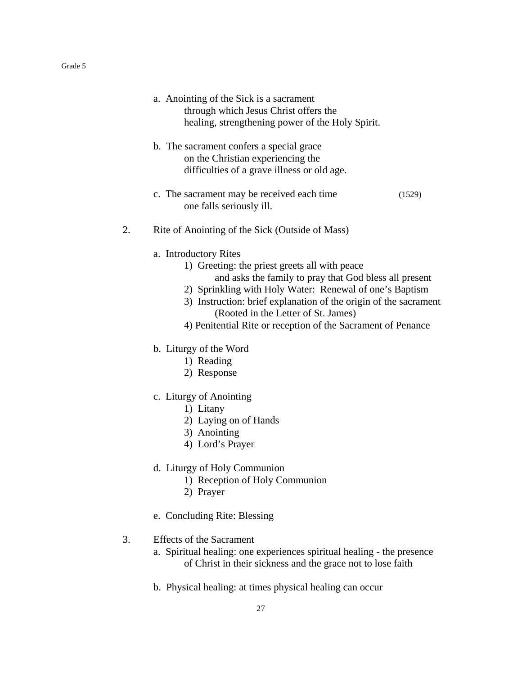- a. Anointing of the Sick is a sacrament through which Jesus Christ offers the healing, strengthening power of the Holy Spirit.
- b. The sacrament confers a special grace on the Christian experiencing the difficulties of a grave illness or old age.
- c. The sacrament may be received each time (1529) one falls seriously ill.
- 2. Rite of Anointing of the Sick (Outside of Mass)
	- a. Introductory Rites
		- 1) Greeting: the priest greets all with peace
			- and asks the family to pray that God bless all present
		- 2) Sprinkling with Holy Water: Renewal of one's Baptism
		- 3) Instruction: brief explanation of the origin of the sacrament (Rooted in the Letter of St. James)
		- 4) Penitential Rite or reception of the Sacrament of Penance
	- b. Liturgy of the Word
		- 1) Reading
		- 2) Response
	- c. Liturgy of Anointing
		- 1) Litany
		- 2) Laying on of Hands
		- 3) Anointing
		- 4) Lord's Prayer
	- d. Liturgy of Holy Communion
		- 1) Reception of Holy Communion
		- 2) Prayer
	- e. Concluding Rite: Blessing

## 3. Effects of the Sacrament

- a. Spiritual healing: one experiences spiritual healing the presence of Christ in their sickness and the grace not to lose faith
- b. Physical healing: at times physical healing can occur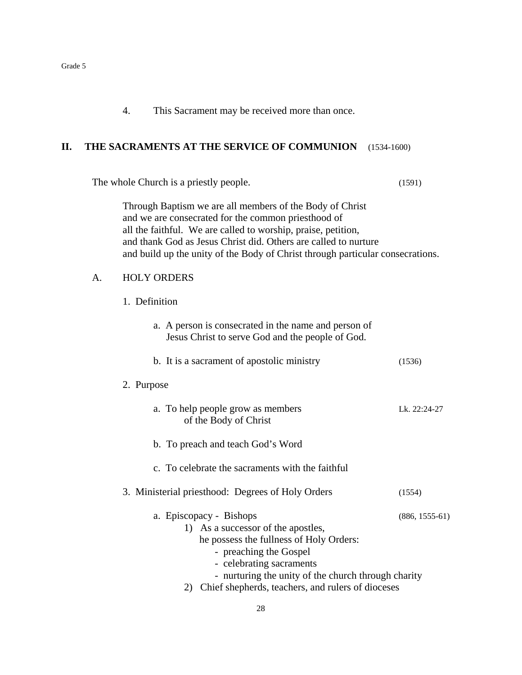4. This Sacrament may be received more than once.

## **II. THE SACRAMENTS AT THE SERVICE OF COMMUNION** (1534-1600)

The whole Church is a priestly people. (1591)

Through Baptism we are all members of the Body of Christ and we are consecrated for the common priesthood of all the faithful. We are called to worship, praise, petition, and thank God as Jesus Christ did. Others are called to nurture and build up the unity of the Body of Christ through particular consecrations.

#### A. HOLY ORDERS

1. Definition

| a. A person is consecrated in the name and person of |
|------------------------------------------------------|
| Jesus Christ to serve God and the people of God.     |

b. It is a sacrament of apostolic ministry (1536)

#### 2. Purpose

- a. To help people grow as members Lk. 22:24-27 of the Body of Christ
- b. To preach and teach God's Word
- c. To celebrate the sacraments with the faithful
- 3. Ministerial priesthood: Degrees of Holy Orders (1554)
	- a. Episcopacy Bishops (886, 1555-61) 1) As a successor of the apostles, he possess the fullness of Holy Orders: - preaching the Gospel
		- celebrating sacraments
		- nurturing the unity of the church through charity
		- 2) Chief shepherds, teachers, and rulers of dioceses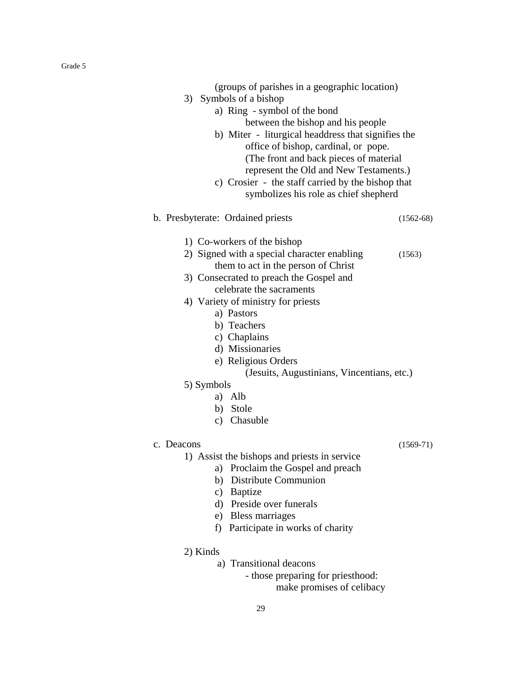| (groups of parishes in a geographic location)<br>3) Symbols of a bishop<br>a) Ring - symbol of the bond                                                                                                                                                                                                                                                                                                                | between the bishop and his people<br>b) Miter - liturgical headdress that signifies the<br>office of bishop, cardinal, or pope.<br>(The front and back pieces of material<br>represent the Old and New Testaments.)<br>c) Crosier - the staff carried by the bishop that<br>symbolizes his role as chief shepherd |  |
|------------------------------------------------------------------------------------------------------------------------------------------------------------------------------------------------------------------------------------------------------------------------------------------------------------------------------------------------------------------------------------------------------------------------|-------------------------------------------------------------------------------------------------------------------------------------------------------------------------------------------------------------------------------------------------------------------------------------------------------------------|--|
| b. Presbyterate: Ordained priests                                                                                                                                                                                                                                                                                                                                                                                      | $(1562-68)$                                                                                                                                                                                                                                                                                                       |  |
| 1) Co-workers of the bishop<br>2) Signed with a special character enabling<br>them to act in the person of Christ<br>3) Consecrated to preach the Gospel and<br>celebrate the sacraments<br>4) Variety of ministry for priests<br>a) Pastors<br>b) Teachers<br>c) Chaplains<br>d) Missionaries<br>e) Religious Orders<br>(Jesuits, Augustinians, Vincentians, etc.)<br>5) Symbols<br>a) Alb<br>b) Stole<br>c) Chasuble | (1563)                                                                                                                                                                                                                                                                                                            |  |
| c. Deacons<br>1) Assist the bishops and priests in service<br>a) Proclaim the Gospel and preach<br>b) Distribute Communion<br>c) Baptize<br>d) Preside over funerals<br>e) Bless marriages<br>f) Participate in works of charity<br>2) Kinds<br>a) Transitional deacons<br>- those preparing for priesthood:<br>make promises of celibacy                                                                              | $(1569-71)$                                                                                                                                                                                                                                                                                                       |  |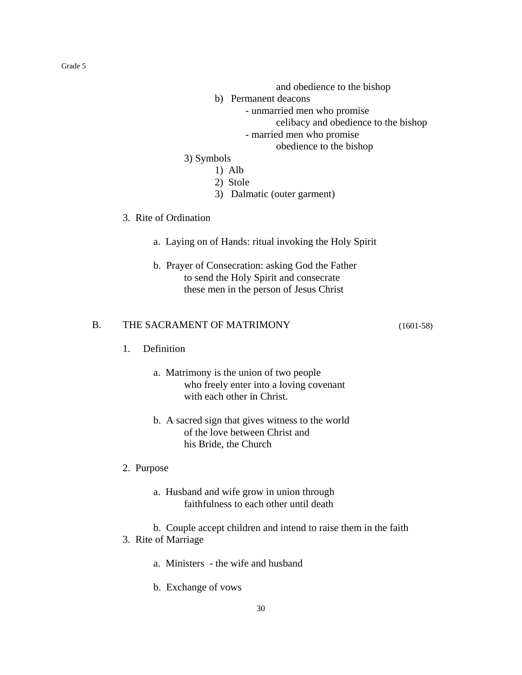and obedience to the bishop

- b) Permanent deacons
	- unmarried men who promise

celibacy and obedience to the bishop

- married men who promise

obedience to the bishop

## 3) Symbols

- 1) Alb
- 2) Stole
- 3) Dalmatic (outer garment)

## 3. Rite of Ordination

- a. Laying on of Hands: ritual invoking the Holy Spirit
- b. Prayer of Consecration: asking God the Father to send the Holy Spirit and consecrate these men in the person of Jesus Christ

## B. THE SACRAMENT OF MATRIMONY (1601-58)

- 1. Definition
	- a. Matrimony is the union of two people who freely enter into a loving covenant with each other in Christ.
	- b. A sacred sign that gives witness to the world of the love between Christ and his Bride, the Church
- 2. Purpose
	- a. Husband and wife grow in union through faithfulness to each other until death
	- b. Couple accept children and intend to raise them in the faith

30

- 3. Rite of Marriage
	- a. Ministers the wife and husband
	- b. Exchange of vows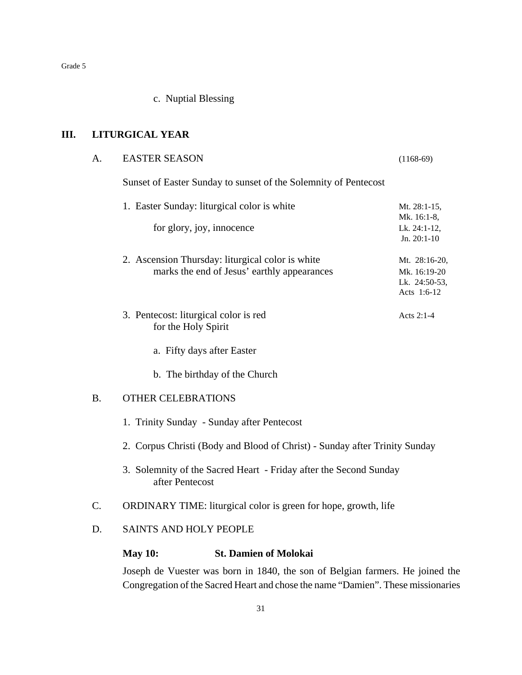c. Nuptial Blessing

## **III. LITURGICAL YEAR**

| A. | <b>EASTER SEASON</b>                                                                                                                                              |                                                                                                 | $(1168-69)$                                                   |  |  |  |
|----|-------------------------------------------------------------------------------------------------------------------------------------------------------------------|-------------------------------------------------------------------------------------------------|---------------------------------------------------------------|--|--|--|
|    | Sunset of Easter Sunday to sunset of the Solemnity of Pentecost                                                                                                   |                                                                                                 |                                                               |  |  |  |
|    | 1. Easter Sunday: liturgical color is white                                                                                                                       | Mt. 28:1-15,                                                                                    |                                                               |  |  |  |
|    |                                                                                                                                                                   | for glory, joy, innocence                                                                       | Mk. 16:1-8,<br>Lk. 24:1-12,<br>Jn. 20:1-10                    |  |  |  |
|    |                                                                                                                                                                   | 2. Ascension Thursday: liturgical color is white<br>marks the end of Jesus' earthly appearances | Mt. 28:16-20,<br>Mk. 16:19-20<br>Lk. 24:50-53,<br>Acts 1:6-12 |  |  |  |
|    |                                                                                                                                                                   | 3. Pentecost: liturgical color is red<br>for the Holy Spirit                                    | Acts 2:1-4                                                    |  |  |  |
|    |                                                                                                                                                                   | a. Fifty days after Easter                                                                      |                                                               |  |  |  |
|    |                                                                                                                                                                   | b. The birthday of the Church                                                                   |                                                               |  |  |  |
| B. | <b>OTHER CELEBRATIONS</b>                                                                                                                                         |                                                                                                 |                                                               |  |  |  |
|    | 1. Trinity Sunday - Sunday after Pentecost                                                                                                                        |                                                                                                 |                                                               |  |  |  |
|    | 2. Corpus Christi (Body and Blood of Christ) - Sunday after Trinity Sunday                                                                                        |                                                                                                 |                                                               |  |  |  |
|    | 3. Solemnity of the Sacred Heart - Friday after the Second Sunday<br>after Pentecost                                                                              |                                                                                                 |                                                               |  |  |  |
| C. | ORDINARY TIME: liturgical color is green for hope, growth, life                                                                                                   |                                                                                                 |                                                               |  |  |  |
| D. | SAINTS AND HOLY PEOPLE                                                                                                                                            |                                                                                                 |                                                               |  |  |  |
|    | <b>May 10:</b>                                                                                                                                                    | <b>St. Damien of Molokai</b>                                                                    |                                                               |  |  |  |
|    | Joseph de Vuester was born in 1840, the son of Belgian farmers. He joined the<br>Congregation of the Sacred Heart and chose the name "Damien". These missionaries |                                                                                                 |                                                               |  |  |  |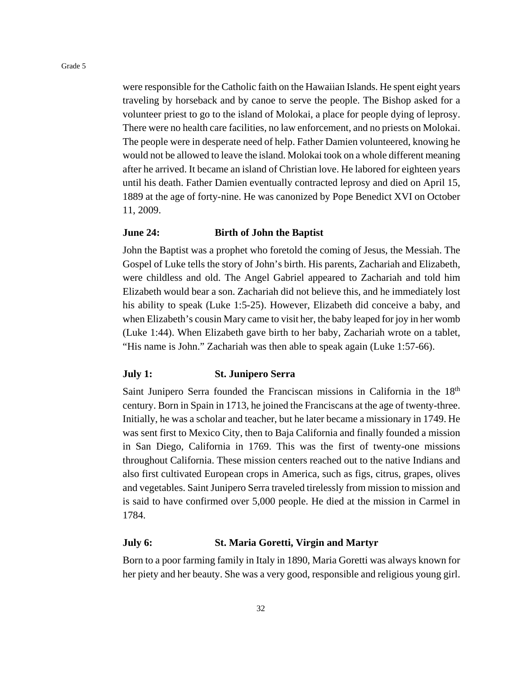were responsible for the Catholic faith on the Hawaiian Islands. He spent eight years traveling by horseback and by canoe to serve the people. The Bishop asked for a volunteer priest to go to the island of Molokai, a place for people dying of leprosy. There were no health care facilities, no law enforcement, and no priests on Molokai. The people were in desperate need of help. Father Damien volunteered, knowing he would not be allowed to leave the island. Molokai took on a whole different meaning after he arrived. It became an island of Christian love. He labored for eighteen years until his death. Father Damien eventually contracted leprosy and died on April 15, 1889 at the age of forty-nine. He was canonized by Pope Benedict XVI on October 11, 2009.

#### **June 24: Birth of John the Baptist**

John the Baptist was a prophet who foretold the coming of Jesus, the Messiah. The Gospel of Luke tells the story of John's birth. His parents, Zachariah and Elizabeth, were childless and old. The Angel Gabriel appeared to Zachariah and told him Elizabeth would bear a son. Zachariah did not believe this, and he immediately lost his ability to speak (Luke 1:5-25). However, Elizabeth did conceive a baby, and when Elizabeth's cousin Mary came to visit her, the baby leaped for joy in her womb (Luke 1:44). When Elizabeth gave birth to her baby, Zachariah wrote on a tablet, "His name is John." Zachariah was then able to speak again (Luke 1:57-66).

#### **July 1: St. Junipero Serra**

Saint Junipero Serra founded the Franciscan missions in California in the 18<sup>th</sup> century. Born in Spain in 1713, he joined the Franciscans at the age of twenty-three. Initially, he was a scholar and teacher, but he later became a missionary in 1749. He was sent first to Mexico City, then to Baja California and finally founded a mission in San Diego, California in 1769. This was the first of twenty-one missions throughout California. These mission centers reached out to the native Indians and also first cultivated European crops in America, such as figs, citrus, grapes, olives and vegetables. Saint Junipero Serra traveled tirelessly from mission to mission and is said to have confirmed over 5,000 people. He died at the mission in Carmel in 1784.

#### **July 6: St. Maria Goretti, Virgin and Martyr**

Born to a poor farming family in Italy in 1890, Maria Goretti was always known for her piety and her beauty. She was a very good, responsible and religious young girl.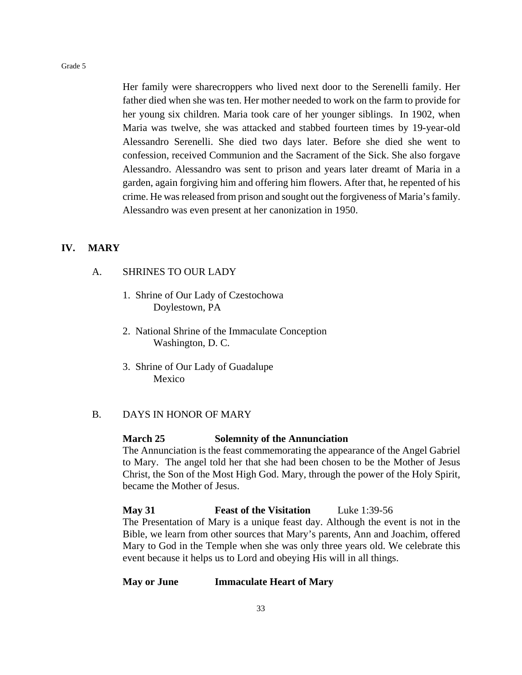Her family were sharecroppers who lived next door to the Serenelli family. Her father died when she was ten. Her mother needed to work on the farm to provide for her young six children. Maria took care of her younger siblings. In 1902, when Maria was twelve, she was attacked and stabbed fourteen times by 19-year-old Alessandro Serenelli. She died two days later. Before she died she went to confession, received Communion and the Sacrament of the Sick. She also forgave Alessandro. Alessandro was sent to prison and years later dreamt of Maria in a garden, again forgiving him and offering him flowers. After that, he repented of his crime. He was released from prison and sought out the forgiveness of Maria's family. Alessandro was even present at her canonization in 1950.

#### **IV. MARY**

## A. SHRINES TO OUR LADY

- 1. Shrine of Our Lady of Czestochowa Doylestown, PA
- 2. National Shrine of the Immaculate Conception Washington, D. C.
- 3. Shrine of Our Lady of Guadalupe Mexico

## B. DAYS IN HONOR OF MARY

#### **March 25 Solemnity of the Annunciation**

The Annunciation is the feast commemorating the appearance of the Angel Gabriel to Mary. The angel told her that she had been chosen to be the Mother of Jesus Christ, the Son of the Most High God. Mary, through the power of the Holy Spirit, became the Mother of Jesus.

**May 31 Feast of the Visitation** Luke 1:39-56 The Presentation of Mary is a unique feast day. Although the event is not in the Bible, we learn from other sources that Mary's parents, Ann and Joachim, offered Mary to God in the Temple when she was only three years old. We celebrate this event because it helps us to Lord and obeying His will in all things.

## **May or June Immaculate Heart of Mary**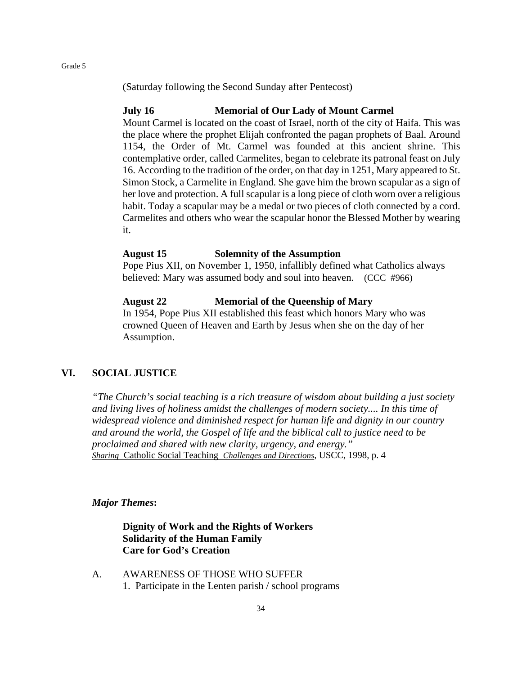(Saturday following the Second Sunday after Pentecost)

### **July 16 Memorial of Our Lady of Mount Carmel**

Mount Carmel is located on the coast of Israel, north of the city of Haifa. This was the place where the prophet Elijah confronted the pagan prophets of Baal. Around 1154, the Order of Mt. Carmel was founded at this ancient shrine. This contemplative order, called Carmelites, began to celebrate its patronal feast on July 16. According to the tradition of the order, on that day in 1251, Mary appeared to St. Simon Stock, a Carmelite in England. She gave him the brown scapular as a sign of her love and protection. A full scapular is a long piece of cloth worn over a religious habit. Today a scapular may be a medal or two pieces of cloth connected by a cord. Carmelites and others who wear the scapular honor the Blessed Mother by wearing it.

#### **August 15 Solemnity of the Assumption**

Pope Pius XII, on November 1, 1950, infallibly defined what Catholics always believed: Mary was assumed body and soul into heaven. (CCC #966)

## **August 22 Memorial of the Queenship of Mary**

In 1954, Pope Pius XII established this feast which honors Mary who was crowned Queen of Heaven and Earth by Jesus when she on the day of her Assumption.

## **VI. SOCIAL JUSTICE**

*"The Church's social teaching is a rich treasure of wisdom about building a just society and living lives of holiness amidst the challenges of modern society.... In this time of widespread violence and diminished respect for human life and dignity in our country and around the world, the Gospel of life and the biblical call to justice need to be proclaimed and shared with new clarity, urgency, and energy." Sharing* Catholic Social Teaching *Challenges and Directions*, USCC, 1998, p. 4

#### *Major Themes***:**

## **Dignity of Work and the Rights of Workers Solidarity of the Human Family Care for God's Creation**

A. AWARENESS OF THOSE WHO SUFFER 1. Participate in the Lenten parish / school programs